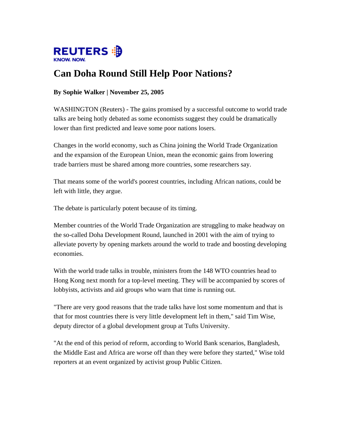

## **Can Doha Round Still Help Poor Nations?**

## **By Sophie Walker | November 25, 2005**

WASHINGTON (Reuters) - The gains promised by a successful outcome to world trade talks are being hotly debated as some economists suggest they could be dramatically lower than first predicted and leave some poor nations losers.

Changes in the world economy, such as China joining the World Trade Organization and the expansion of the European Union, mean the economic gains from lowering trade barriers must be shared among more countries, some researchers say.

That means some of the world's poorest countries, including African nations, could be left with little, they argue.

The debate is particularly potent because of its timing.

Member countries of the World Trade Organization are struggling to make headway on the so-called Doha Development Round, launched in 2001 with the aim of trying to alleviate poverty by opening markets around the world to trade and boosting developing economies.

With the world trade talks in trouble, ministers from the 148 WTO countries head to Hong Kong next month for a top-level meeting. They will be accompanied by scores of lobbyists, activists and aid groups who warn that time is running out.

"There are very good reasons that the trade talks have lost some momentum and that is that for most countries there is very little development left in them," said Tim Wise, deputy director of a global development group at Tufts University.

"At the end of this period of reform, according to World Bank scenarios, Bangladesh, the Middle East and Africa are worse off than they were before they started," Wise told reporters at an event organized by activist group Public Citizen.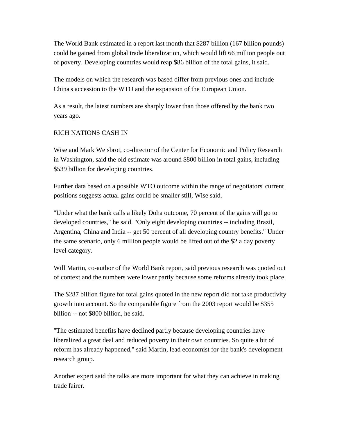The World Bank estimated in a report last month that \$287 billion (167 billion pounds) could be gained from global trade liberalization, which would lift 66 million people out of poverty. Developing countries would reap \$86 billion of the total gains, it said.

The models on which the research was based differ from previous ones and include China's accession to the WTO and the expansion of the European Union.

As a result, the latest numbers are sharply lower than those offered by the bank two years ago.

## RICH NATIONS CASH IN

Wise and Mark Weisbrot, co-director of the Center for Economic and Policy Research in Washington, said the old estimate was around \$800 billion in total gains, including \$539 billion for developing countries.

Further data based on a possible WTO outcome within the range of negotiators' current positions suggests actual gains could be smaller still, Wise said.

"Under what the bank calls a likely Doha outcome, 70 percent of the gains will go to developed countries," he said. "Only eight developing countries -- including Brazil, Argentina, China and India -- get 50 percent of all developing country benefits." Under the same scenario, only 6 million people would be lifted out of the \$2 a day poverty level category.

Will Martin, co-author of the World Bank report, said previous research was quoted out of context and the numbers were lower partly because some reforms already took place.

The \$287 billion figure for total gains quoted in the new report did not take productivity growth into account. So the comparable figure from the 2003 report would be \$355 billion -- not \$800 billion, he said.

"The estimated benefits have declined partly because developing countries have liberalized a great deal and reduced poverty in their own countries. So quite a bit of reform has already happened," said Martin, lead economist for the bank's development research group.

Another expert said the talks are more important for what they can achieve in making trade fairer.